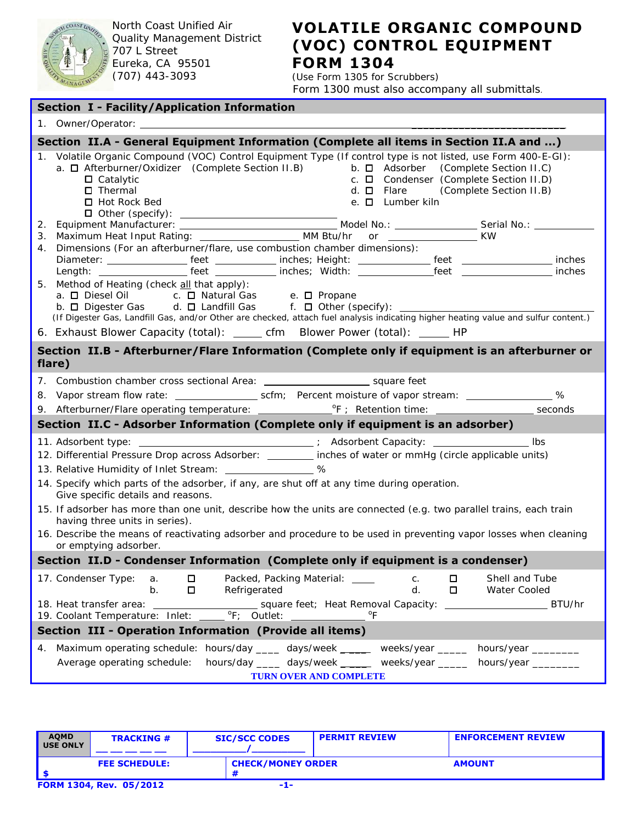

North Coast Unified Air Quality Management District 707 L Street Eureka, CA 95501 (707) 443-3093

## **VOLATILE ORGANIC COMPOUND (VOC) CONTROL EQUIPMENT FORM 1304**

(Use Form 1305 for Scrubbers) Form 1300 must also accompany all submittals.

| <b>Section I - Facility/Application Information</b>                                                                                                                                                                                                                                                                                                                                                                                  |  |  |  |  |  |
|--------------------------------------------------------------------------------------------------------------------------------------------------------------------------------------------------------------------------------------------------------------------------------------------------------------------------------------------------------------------------------------------------------------------------------------|--|--|--|--|--|
|                                                                                                                                                                                                                                                                                                                                                                                                                                      |  |  |  |  |  |
| Section II.A - General Equipment Information (Complete all items in Section II.A and )                                                                                                                                                                                                                                                                                                                                               |  |  |  |  |  |
| Volatile Organic Compound (VOC) Control Equipment Type (If control type is not listed, use Form 400-E-GI):<br>1.<br>a. $\Box$ Afterburner/Oxidizer (Complete Section II.B) b. $\Box$ Adsorber (Complete Section II.C)<br>c. $\Box$ Condenser (Complete Section II.D)<br>$\square$ Catalytic<br>$\Box$ Thermal<br>d. $\Box$ Flare (Complete Section II.B)<br>e. □ Lumber kiln<br>□ Hot Rock Bed                                       |  |  |  |  |  |
| 4. Dimensions (For an afterburner/flare, use combustion chamber dimensions):                                                                                                                                                                                                                                                                                                                                                         |  |  |  |  |  |
| 5. Method of Heating (check all that apply):<br>a. □ Diesel Oil<br>c. □ Natural Gas e. □ Propane<br>b. O Digester Gas d. O Landfill Gas f. O Other (specify): ______<br>(If Digester Gas, Landfill Gas, and/or Other are checked, attach fuel analysis indicating higher heating value and sulfur content.)                                                                                                                          |  |  |  |  |  |
| 6. Exhaust Blower Capacity (total): ______ cfm Blower Power (total): ______ HP                                                                                                                                                                                                                                                                                                                                                       |  |  |  |  |  |
| Section II.B - Afterburner/Flare Information (Complete only if equipment is an afterburner or<br>flare)                                                                                                                                                                                                                                                                                                                              |  |  |  |  |  |
|                                                                                                                                                                                                                                                                                                                                                                                                                                      |  |  |  |  |  |
| Section II.C - Adsorber Information (Complete only if equipment is an adsorber)                                                                                                                                                                                                                                                                                                                                                      |  |  |  |  |  |
| 11. Adsorbent type: _________________________________; Adsorbent Capacity: _______________________ Ibs<br>12. Differential Pressure Drop across Adsorber: _______ inches of water or mmHg (circle applicable units)<br>13. Relative Humidity of Inlet Stream: _________________ %<br>14. Specify which parts of the adsorber, if any, are shut off at any time during operation.<br>Give specific details and reasons.               |  |  |  |  |  |
| 15. If adsorber has more than one unit, describe how the units are connected (e.g. two parallel trains, each train<br>having three units in series).<br>16. Describe the means of reactivating adsorber and procedure to be used in preventing vapor losses when cleaning<br>or emptying adsorber.                                                                                                                                   |  |  |  |  |  |
| Section II.D - Condenser Information (Complete only if equipment is a condenser)                                                                                                                                                                                                                                                                                                                                                     |  |  |  |  |  |
| 17. Condenser Type:<br>$\Box$<br>Packed, Packing Material: ____<br>Shell and Tube<br>C.<br>$\Box$<br>a.<br>□<br>Refrigerated<br>d.<br>0<br>Water Cooled<br>b.<br>18. Heat transfer area:<br>_______ square feet; Heat Removal Capacity: __________________________ BTU/hr<br>$\overline{P_{F}}$ ; Outlet:<br>$\mathrm{P}_{\mathsf{F}}$<br>19. Coolant Temperature: Inlet:<br>Section III - Operation Information (Provide all items) |  |  |  |  |  |
|                                                                                                                                                                                                                                                                                                                                                                                                                                      |  |  |  |  |  |
| 4. Maximum operating schedule: hours/day ____ days/week _ ____ weeks/year _____ hours/year _______<br>hours/day _____ days/week _ _____ weeks/year ______ hours/year _______<br>Average operating schedule:<br>TURN OVER AND COMPLETE                                                                                                                                                                                                |  |  |  |  |  |

| <b>AQMD</b><br>USE ONLY | <b>TRACKING #</b>       | <b>SIC/SCC CODES</b>     | <b>PERMIT REVIEW</b> | <b>ENFORCEMENT REVIEW</b> |
|-------------------------|-------------------------|--------------------------|----------------------|---------------------------|
|                         | <b>FEE SCHEDULE:</b>    | <b>CHECK/MONEY ORDER</b> |                      | <b>AMOUNT</b>             |
|                         | FORM 1304, Rev. 05/2012 | -1-                      |                      |                           |